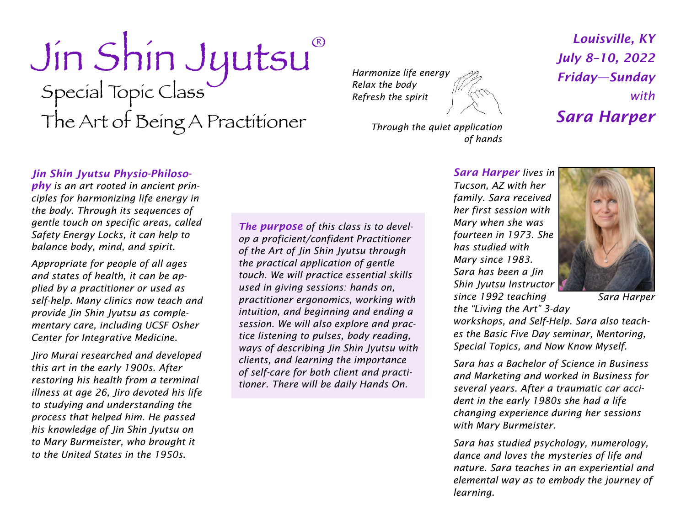# Jin Shin Jyutsu®

Special Topic Class The Art of Being A Practitioner *Harmonize life energy Relax the body Refresh the spirit*

> *Through the quiet application of hands*

*Louisville, KY July 8–10, 2022 Friday—Sunday with Sara Harper*

#### *Jin Shin Jyutsu Physio-Philoso-*

*phy is an art rooted in ancient principles for harmonizing life energy in the body. Through its sequences of gentle touch on specific areas, called Safety Energy Locks, it can help to balance body, mind, and spirit.* 

*Appropriate for people of all ages and states of health, it can be applied by a practitioner or used as self-help. Many clinics now teach and provide Jin Shin Jyutsu as complementary care, including UCSF Osher Center for Integrative Medicine.* 

*Jiro Murai researched and developed this art in the early 1900s. After restoring his health from a terminal illness at age 26, Jiro devoted his life to studying and understanding the process that helped him. He passed his knowledge of Jin Shin Jyutsu on to Mary Burmeister, who brought it to the United States in the 1950s.*

*The purpose of this class is to develop a proficient/confident Practitioner of the Art of Jin Shin Jyutsu through the practical application of gentle touch. We will practice essential skills used in giving sessions: hands on, practitioner ergonomics, working with intuition, and beginning and ending a session. We will also explore and practice listening to pulses, body reading, ways of describing Jin Shin Jyutsu with clients, and learning the importance of self-care for both client and practitioner. There will be daily Hands On.*

*Sara Harper lives in Tucson, AZ with her family. Sara received her first session with Mary when she was fourteen in 1973. She has studied with Mary since 1983. Sara has been a Jin Shin Jyutsu Instructor since 1992 teaching the "Living the Art" 3-day* 

*Sara Harper*

*workshops, and Self-Help. Sara also teaches the Basic Five Day seminar, Mentoring, Special Topics, and Now Know Myself.* 

*Sara has a Bachelor of Science in Business and Marketing and worked in Business for several years. After a traumatic car accident in the early 1980s she had a life changing experience during her sessions with Mary Burmeister.* 

*Sara has studied psychology, numerology, dance and loves the mysteries of life and nature. Sara teaches in an experiential and elemental way as to embody the journey of learning.*